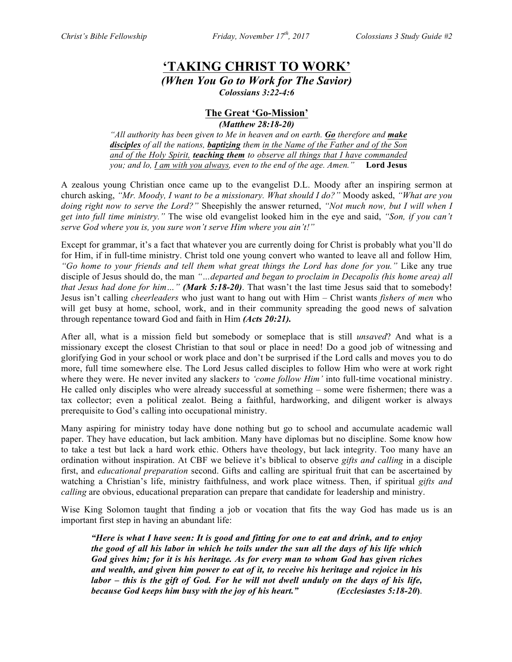# **'TAKING CHRIST TO WORK'** *(When You Go to Work for The Savior)*

*Colossians 3:22-4:6*

# **The Great 'Go-Mission'**

*(Matthew 28:18-20)*

*"All authority has been given to Me in heaven and on earth. Go therefore and make disciples of all the nations, baptizing them in the Name of the Father and of the Son and of the Holy Spirit, teaching them to observe all things that I have commanded you; and lo, I am with you always, even to the end of the age. Amen."* **Lord Jesus**

A zealous young Christian once came up to the evangelist D.L. Moody after an inspiring sermon at church asking, *"Mr. Moody, I want to be a missionary. What should I do?"* Moody asked, *"What are you doing right now to serve the Lord?"* Sheepishly the answer returned, *"Not much now, but I will when I get into full time ministry."* The wise old evangelist looked him in the eye and said, *"Son, if you can't serve God where you is, you sure won't serve Him where you ain't!"*

Except for grammar, it's a fact that whatever you are currently doing for Christ is probably what you'll do for Him, if in full-time ministry. Christ told one young convert who wanted to leave all and follow Him*, "Go home to your friends and tell them what great things the Lord has done for you."* Like any true disciple of Jesus should do, the man *"…departed and began to proclaim in Decapolis (his home area) all that Jesus had done for him…" (Mark 5:18-20)*. That wasn't the last time Jesus said that to somebody! Jesus isn't calling *cheerleaders* who just want to hang out with Him – Christ wants *fishers of men* who will get busy at home, school, work, and in their community spreading the good news of salvation through repentance toward God and faith in Him *(Acts 20:21).*

After all, what is a mission field but somebody or someplace that is still *unsaved*? And what is a missionary except the closest Christian to that soul or place in need! Do a good job of witnessing and glorifying God in your school or work place and don't be surprised if the Lord calls and moves you to do more, full time somewhere else. The Lord Jesus called disciples to follow Him who were at work right where they were. He never invited any slacker*s* to *'come follow Him'* into full-time vocational ministry. He called only disciples who were already successful at something – some were fishermen; there was a tax collector; even a political zealot. Being a faithful, hardworking, and diligent worker is always prerequisite to God's calling into occupational ministry.

Many aspiring for ministry today have done nothing but go to school and accumulate academic wall paper. They have education, but lack ambition. Many have diplomas but no discipline. Some know how to take a test but lack a hard work ethic. Others have theology, but lack integrity. Too many have an ordination without inspiration. At CBF we believe it's biblical to observe *gifts and calling* in a disciple first, and *educational preparation* second. Gifts and calling are spiritual fruit that can be ascertained by watching a Christian's life, ministry faithfulness, and work place witness. Then, if spiritual *gifts and calling* are obvious, educational preparation can prepare that candidate for leadership and ministry.

Wise King Solomon taught that finding a job or vocation that fits the way God has made us is an important first step in having an abundant life:

*"Here is what I have seen: It is good and fitting for one to eat and drink, and to enjoy the good of all his labor in which he toils under the sun all the days of his life which God gives him; for it is his heritage. As for every man to whom God has given riches and wealth, and given him power to eat of it, to receive his heritage and rejoice in his labor – this is the gift of God. For he will not dwell unduly on the days of his life, because God keeps him busy with the joy of his heart." (Ecclesiastes 5:18-20***)**.